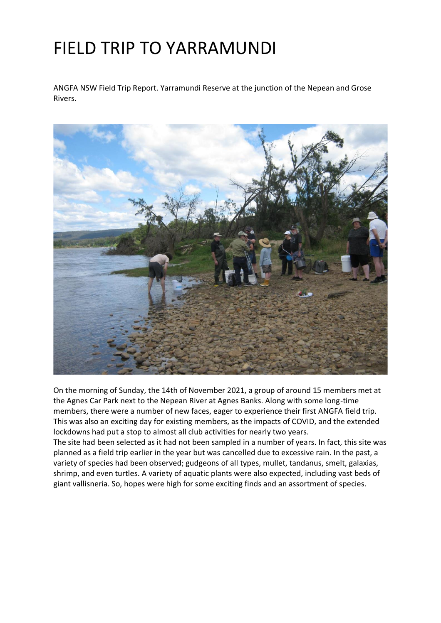## FIELD TRIP TO YARRAMUNDI

ANGFA NSW Field Trip Report. Yarramundi Reserve at the junction of the Nepean and Grose Rivers.



On the morning of Sunday, the 14th of November 2021, a group of around 15 members met at the Agnes Car Park next to the Nepean River at Agnes Banks. Along with some long-time members, there were a number of new faces, eager to experience their first ANGFA field trip. This was also an exciting day for existing members, as the impacts of COVID, and the extended lockdowns had put a stop to almost all club activities for nearly two years.

The site had been selected as it had not been sampled in a number of years. In fact, this site was planned as a field trip earlier in the year but was cancelled due to excessive rain. In the past, a variety of species had been observed; gudgeons of all types, mullet, tandanus, smelt, galaxias, shrimp, and even turtles. A variety of aquatic plants were also expected, including vast beds of giant vallisneria. So, hopes were high for some exciting finds and an assortment of species.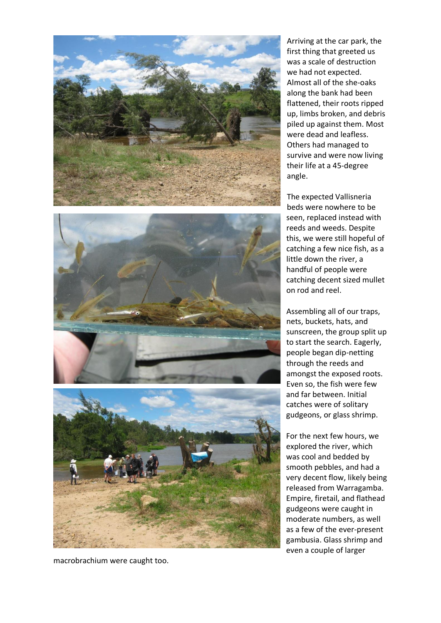

macrobrachium were caught too.

Arriving at the car park, the first thing that greeted us was a scale of destruction we had not expected. Almost all of the she-oaks along the bank had been flattened, their roots ripped up, limbs broken, and debris piled up against them. Most were dead and leafless. Others had managed to survive and were now living their life at a 45-degree angle.

The expected Vallisneria beds were nowhere to be seen, replaced instead with reeds and weeds. Despite this, we were still hopeful of catching a few nice fish, as a little down the river, a handful of people were catching decent sized mullet on rod and reel.

Assembling all of our traps, nets, buckets, hats, and sunscreen, the group split up to start the search. Eagerly, people began dip-netting through the reeds and amongst the exposed roots. Even so, the fish were few and far between. Initial catches were of solitary gudgeons, or glass shrimp.

For the next few hours, we explored the river, which was cool and bedded by smooth pebbles, and had a very decent flow, likely being released from Warragamba. Empire, firetail, and flathead gudgeons were caught in moderate numbers, as well as a few of the ever-present gambusia. Glass shrimp and even a couple of larger